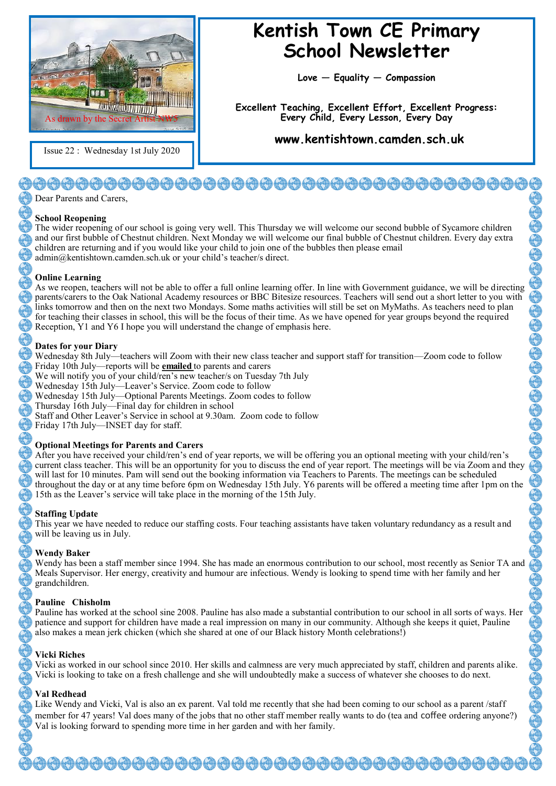

Issue 22 : Wednesday 1st July 2020

# **Kentish Town CE Primary School Newsletter**

**Love — Equality — Compassion**

**Excellent Teaching, Excellent Effort, Excellent Progress: Every Child, Every Lesson, Every Day**

**www.kentishtown.camden.sch.uk** 

# }@@@@@@@@@@@@@@@@@@@@@@@@

Dear Parents and Carers,

#### **School Reopening**

The wider reopening of our school is going very well. This Thursday we will welcome our second bubble of Sycamore children and our first bubble of Chestnut children. Next Monday we will welcome our final bubble of Chestnut children. Every day extra children are returning and if you would like your child to join one of the bubbles then please email admin@kentishtown.camden.sch.uk or your child's teacher/s direct.

#### **Online Learning**

As we reopen, teachers will not be able to offer a full online learning offer. In line with Government guidance, we will be directing parents/carers to the Oak National Academy resources or BBC Bitesize resources. Teachers will send out a short letter to you with links tomorrow and then on the next two Mondays. Some maths activities will still be set on MyMaths. As teachers need to plan for teaching their classes in school, this will be the focus of their time. As we have opened for year groups beyond the required Reception, Y1 and Y6 I hope you will understand the change of emphasis here.

#### **Dates for your Diary**

Wednesday 8th July—teachers will Zoom with their new class teacher and support staff for transition—Zoom code to follow Friday 10th July—reports will be **emailed** to parents and carers We will notify you of your child/ren's new teacher/s on Tuesday 7th July Wednesday 15th July—Leaver's Service. Zoom code to follow

Wednesday 15th July—Optional Parents Meetings. Zoom codes to follow

Thursday 16th July—Final day for children in school

Staff and Other Leaver's Service in school at 9.30am. Zoom code to follow

Friday 17th July—INSET day for staff.

#### **Optional Meetings for Parents and Carers**

After you have received your child/ren's end of year reports, we will be offering you an optional meeting with your child/ren's current class teacher. This will be an opportunity for you to discuss the end of year report. The meetings will be via Zoom and they will last for 10 minutes. Pam will send out the booking information via Teachers to Parents. The meetings can be scheduled throughout the day or at any time before 6pm on Wednesday 15th July. Y6 parents will be offered a meeting time after 1pm on the 15th as the Leaver's service will take place in the morning of the 15th July.

#### **Staffing Update**

This year we have needed to reduce our staffing costs. Four teaching assistants have taken voluntary redundancy as a result and will be leaving us in July.

#### **Wendy Baker**

Wendy has been a staff member since 1994. She has made an enormous contribution to our school, most recently as Senior TA and Meals Supervisor. Her energy, creativity and humour are infectious. Wendy is looking to spend time with her family and her grandchildren.

#### **Pauline Chisholm**

Pauline has worked at the school sine 2008. Pauline has also made a substantial contribution to our school in all sorts of ways. Her patience and support for children have made a real impression on many in our community. Although she keeps it quiet, Pauline also makes a mean jerk chicken (which she shared at one of our Black history Month celebrations!)

#### **Vicki Riches**

Vicki as worked in our school since 2010. Her skills and calmness are very much appreciated by staff, children and parents alike. Vicki is looking to take on a fresh challenge and she will undoubtedly make a success of whatever she chooses to do next.

# **Val Redhead**

Like Wendy and Vicki, Val is also an ex parent. Val told me recently that she had been coming to our school as a parent /staff member for 47 years! Val does many of the jobs that no other staff member really wants to do (tea and coffee ordering anyone?) Val is looking forward to spending more time in her garden and with her family.

9090909009090900909090009